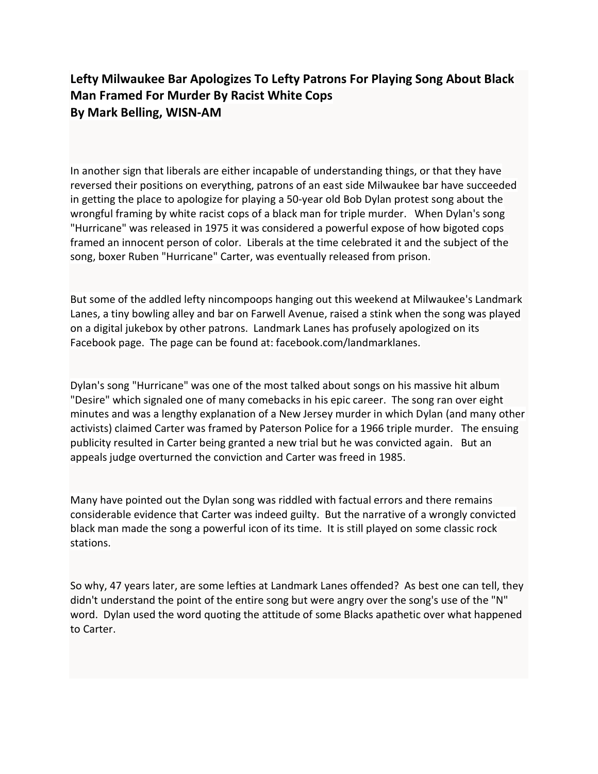## Lefty Milwaukee Bar Apologizes To Lefty Patrons For Playing Song About Black Man Framed For Murder By Racist White Cops By Mark Belling, WISN-AM

In another sign that liberals are either incapable of understanding things, or that they have reversed their positions on everything, patrons of an east side Milwaukee bar have succeeded in getting the place to apologize for playing a 50-year old Bob Dylan protest song about the wrongful framing by white racist cops of a black man for triple murder. When Dylan's song "Hurricane" was released in 1975 it was considered a powerful expose of how bigoted cops framed an innocent person of color. Liberals at the time celebrated it and the subject of the song, boxer Ruben "Hurricane" Carter, was eventually released from prison.

But some of the addled lefty nincompoops hanging out this weekend at Milwaukee's Landmark Lanes, a tiny bowling alley and bar on Farwell Avenue, raised a stink when the song was played on a digital jukebox by other patrons. Landmark Lanes has profusely apologized on its Facebook page. The page can be found at: facebook.com/landmarklanes.

Dylan's song "Hurricane" was one of the most talked about songs on his massive hit album "Desire" which signaled one of many comebacks in his epic career. The song ran over eight minutes and was a lengthy explanation of a New Jersey murder in which Dylan (and many other activists) claimed Carter was framed by Paterson Police for a 1966 triple murder. The ensuing publicity resulted in Carter being granted a new trial but he was convicted again. But an appeals judge overturned the conviction and Carter was freed in 1985.

Many have pointed out the Dylan song was riddled with factual errors and there remains considerable evidence that Carter was indeed guilty. But the narrative of a wrongly convicted black man made the song a powerful icon of its time. It is still played on some classic rock stations.

So why, 47 years later, are some lefties at Landmark Lanes offended? As best one can tell, they didn't understand the point of the entire song but were angry over the song's use of the "N" word. Dylan used the word quoting the attitude of some Blacks apathetic over what happened to Carter.